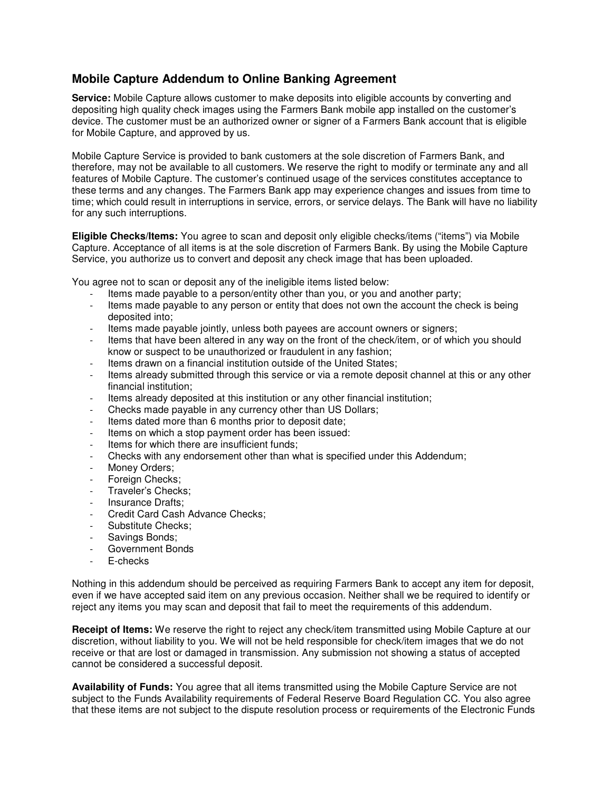## **Mobile Capture Addendum to Online Banking Agreement**

**Service:** Mobile Capture allows customer to make deposits into eligible accounts by converting and depositing high quality check images using the Farmers Bank mobile app installed on the customer's device. The customer must be an authorized owner or signer of a Farmers Bank account that is eligible for Mobile Capture, and approved by us.

Mobile Capture Service is provided to bank customers at the sole discretion of Farmers Bank, and therefore, may not be available to all customers. We reserve the right to modify or terminate any and all features of Mobile Capture. The customer's continued usage of the services constitutes acceptance to these terms and any changes. The Farmers Bank app may experience changes and issues from time to time; which could result in interruptions in service, errors, or service delays. The Bank will have no liability for any such interruptions.

**Eligible Checks/Items:** You agree to scan and deposit only eligible checks/items ("items") via Mobile Capture. Acceptance of all items is at the sole discretion of Farmers Bank. By using the Mobile Capture Service, you authorize us to convert and deposit any check image that has been uploaded.

You agree not to scan or deposit any of the ineligible items listed below:

- Items made payable to a person/entity other than you, or you and another party;
- Items made payable to any person or entity that does not own the account the check is being deposited into;
- Items made payable jointly, unless both payees are account owners or signers;
- Items that have been altered in any way on the front of the check/item, or of which you should know or suspect to be unauthorized or fraudulent in any fashion;
- Items drawn on a financial institution outside of the United States;
- Items already submitted through this service or via a remote deposit channel at this or any other financial institution;
- Items already deposited at this institution or any other financial institution;
- Checks made payable in any currency other than US Dollars;
- Items dated more than 6 months prior to deposit date;
- Items on which a stop payment order has been issued:
- Items for which there are insufficient funds;
- Checks with any endorsement other than what is specified under this Addendum;
- Money Orders;
- Foreign Checks;
- Traveler's Checks:
- Insurance Drafts;
- Credit Card Cash Advance Checks;
- Substitute Checks;
- Savings Bonds;
- Government Bonds
- E-checks

Nothing in this addendum should be perceived as requiring Farmers Bank to accept any item for deposit, even if we have accepted said item on any previous occasion. Neither shall we be required to identify or reject any items you may scan and deposit that fail to meet the requirements of this addendum.

**Receipt of Items:** We reserve the right to reject any check/item transmitted using Mobile Capture at our discretion, without liability to you. We will not be held responsible for check/item images that we do not receive or that are lost or damaged in transmission. Any submission not showing a status of accepted cannot be considered a successful deposit.

**Availability of Funds:** You agree that all items transmitted using the Mobile Capture Service are not subject to the Funds Availability requirements of Federal Reserve Board Regulation CC. You also agree that these items are not subject to the dispute resolution process or requirements of the Electronic Funds